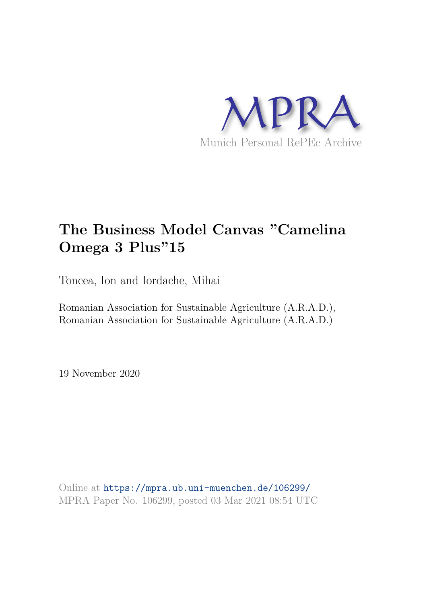

# **The Business Model Canvas "Camelina Omega 3 Plus"15**

Toncea, Ion and Iordache, Mihai

Romanian Association for Sustainable Agriculture (A.R.A.D.), Romanian Association for Sustainable Agriculture (A.R.A.D.)

19 November 2020

Online at https://mpra.ub.uni-muenchen.de/106299/ MPRA Paper No. 106299, posted 03 Mar 2021 08:54 UTC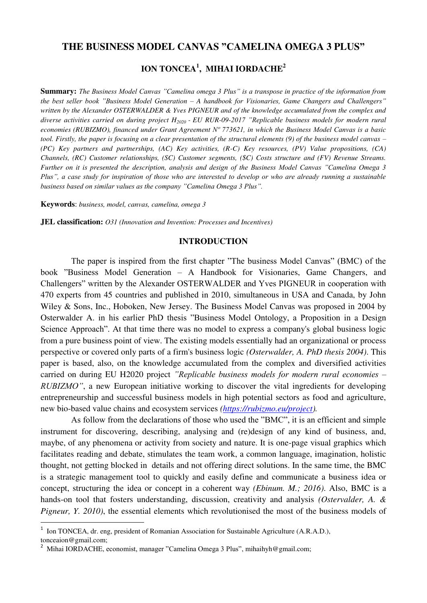#### **THE BUSINESS MODEL CANVAS "CAMELINA OMEGA 3 PLUS"**

# **ION TONCEA<sup>1</sup> , MIHAI IORDACHE<sup>2</sup>**

**Summary:** *The Business Model Canvas "Camelina omega 3 Plus" is a transpose in practice of the information from the best seller book "Business Model Generation – A handbook for Visionaries, Game Changers and Challengers" written by the Alexander OSTERWALDER & Yves PIGNEUR and of the knowledge accumulated from the complex and diverse activities carried on during project H2020 - EU RUR-09-2017 "Replicable business models for modern rural economies (RUBIZMO), financed under Grant Agreement Nº 773621, in which the Business Model Canvas is a basic tool. Firstly, the paper is focusing on a clear presentation of the structural elements (9) of the business model canvas – (PC) Key partners and partnerships, (AC) Key activities, (R-C) Key resources, (PV) Value propositions, (CA) Channels, (RC) Customer relationships, (SC) Customer segments, (\$C) Costs structure and (FV) Revenue Streams. Further on it is presented the description, analysis and design of the Business Model Canvas "Camelina Omega 3 Plus", a case study for inspiration of those who are interested to develop or who are already running a sustainable business based on similar values as the company "Camelina Omega 3 Plus".*

**Keywords**: *business, model, canvas, camelina, omega 3* 

**JEL classification:** *O31 (Innovation and Invention: Processes and Incentives)*

#### **INTRODUCTION**

The paper is inspired from the first chapter "The business Model Canvas" (BMC) of the book "Business Model Generation – A Handbook for Visionaries, Game Changers, and Challengers" written by the Alexander OSTERWALDER and Yves PIGNEUR in cooperation with 470 experts from 45 countries and published in 2010, simultaneous in USA and Canada, by John Wiley & Sons, Inc., Hoboken, New Jersey. The Business Model Canvas was proposed in 2004 by Osterwalder A. in his earlier PhD thesis "Business Model Ontology, a Proposition in a Design Science Approach". At that time there was no model to express a company's global business logic from a pure business point of view. The existing models essentially had an organizational or process perspective or covered only parts of a firm's business logic *(Osterwalder, A. PhD thesis 2004)*. This paper is based, also, on the knowledge accumulated from the complex and diversified activities carried on during EU H2020 project *"Replicable business models for modern rural economies – RUBIZMO"*, a new European initiative working to discover the vital ingredients for developing entrepreneurship and successful business models in high potential sectors as food and agriculture, new bio-based value chains and ecosystem services *[\(https://rubizmo.eu/project\)](https://rubizmo.eu/project).* 

As follow from the declarations of those who used the "BMC", it is an efficient and simple instrument for discovering, describing, analysing and (re)design of any kind of business, and, maybe, of any phenomena or activity from society and nature. It is one-page visual graphics which facilitates reading and debate, stimulates the team work, a common language, imagination, holistic thought, not getting blocked in details and not offering direct solutions. In the same time, the BMC is a strategic management tool to quickly and easily define and communicate a business idea or concept, structuring the idea or concept in a coherent way *(Ebinum. M.; 2016)*. Also, BMC is a hands-on tool that fosters understanding, discussion, creativity and analysis *(Ostervalder, A. & Pigneur, Y. 2010)*, the essential elements which revolutionised the most of the business models of

 $\overline{a}$ 

<sup>1</sup> Ion TONCEA, dr. eng, president of Romanian Association for Sustainable Agriculture (A.R.A.D.), tonceaion@gmail.com;

<sup>&</sup>lt;sup>2</sup> Mihai IORDACHE, economist, manager "Camelina Omega 3 Plus", mihaihyh@gmail.com;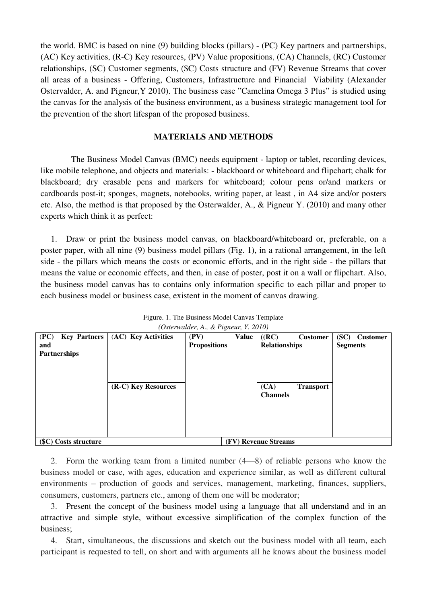the world. BMC is based on nine (9) building blocks (pillars) - (PC) Key partners and partnerships, (AC) Key activities, (R-C) Key resources, (PV) Value propositions, (CA) Channels, (RC) Customer relationships, (SC) Customer segments, (\$C) Costs structure and (FV) Revenue Streams that cover all areas of a business - Offering, Customers, Infrastructure and Financial Viability (Alexander Ostervalder, A. and Pigneur,Y 2010). The business case "Camelina Omega 3 Plus" is studied using the canvas for the analysis of the business environment, as a business strategic management tool for the prevention of the short lifespan of the proposed business.

#### **MATERIALS AND METHODS**

The Business Model Canvas (BMC) needs equipment - laptop or tablet, recording devices, like mobile telephone, and objects and materials: - blackboard or whiteboard and flipchart; chalk for blackboard; dry erasable pens and markers for whiteboard; colour pens or/and markers or cardboards post-it; sponges, magnets, notebooks, writing paper, at least , in A4 size and/or posters etc. Also, the method is that proposed by the Osterwalder, A., & Pigneur Y. (2010) and many other experts which think it as perfect:

1. Draw or print the business model canvas, on blackboard/whiteboard or, preferable, on a poster paper, with all nine (9) business model pillars (Fig. 1), in a rational arrangement, in the left side - the pillars which means the costs or economic efforts, and in the right side - the pillars that means the value or economic effects, and then, in case of poster, post it on a wall or flipchart. Also, the business model canvas has to contains only information specific to each pillar and proper to each business model or business case, existent in the moment of canvas drawing.

| <b>Key Partners</b><br>(PC) | (AC) Key Activities | (PV)                 | Value | ((RC)                | <b>Customer</b>  | (SC)<br><b>Customer</b> |  |  |  |  |  |  |
|-----------------------------|---------------------|----------------------|-------|----------------------|------------------|-------------------------|--|--|--|--|--|--|
| and                         |                     | <b>Propositions</b>  |       | <b>Relationships</b> |                  | <b>Segments</b>         |  |  |  |  |  |  |
| <b>Partnerships</b>         |                     |                      |       |                      |                  |                         |  |  |  |  |  |  |
|                             |                     |                      |       |                      |                  |                         |  |  |  |  |  |  |
|                             |                     |                      |       |                      |                  |                         |  |  |  |  |  |  |
|                             |                     |                      |       |                      |                  |                         |  |  |  |  |  |  |
|                             | (R-C) Key Resources |                      |       | (CA)                 | <b>Transport</b> |                         |  |  |  |  |  |  |
|                             |                     |                      |       | <b>Channels</b>      |                  |                         |  |  |  |  |  |  |
|                             |                     |                      |       |                      |                  |                         |  |  |  |  |  |  |
|                             |                     |                      |       |                      |                  |                         |  |  |  |  |  |  |
|                             |                     |                      |       |                      |                  |                         |  |  |  |  |  |  |
|                             |                     |                      |       |                      |                  |                         |  |  |  |  |  |  |
|                             |                     |                      |       |                      |                  |                         |  |  |  |  |  |  |
| (\$C) Costs structure       |                     | (FV) Revenue Streams |       |                      |                  |                         |  |  |  |  |  |  |

Figure. 1. The Business Model Canvas Template *(Osterwalder, A., & Pigneur, Y. 2010)*

2. Form the working team from a limited number (4—8) of reliable persons who know the business model or case, with ages, education and experience similar, as well as different cultural environments – production of goods and services, management, marketing, finances, suppliers, consumers, customers, partners etc., among of them one will be moderator;

3. Present the concept of the business model using a language that all understand and in an attractive and simple style, without excessive simplification of the complex function of the business;

4. Start, simultaneous, the discussions and sketch out the business model with all team, each participant is requested to tell, on short and with arguments all he knows about the business model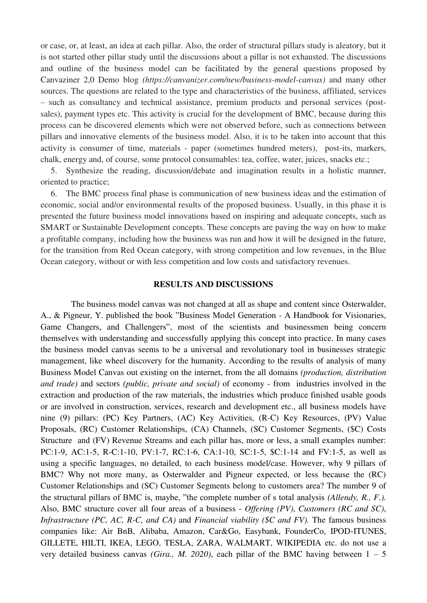or case, or, at least, an idea at each pillar. Also, the order of structural pillars study is aleatory, but it is not started other pillar study until the discussions about a pillar is not exhausted. The discussions and outline of the business model can be facilitated by the general questions proposed by Canvaziner 2,0 Demo blog *(https://canvanizer.com/new/business-model-canvas)* and many other sources. The questions are related to the type and characteristics of the business, affiliated, services – such as consultancy and technical assistance, premium products and personal services (postsales), payment types etc. This activity is crucial for the development of BMC, because during this process can be discovered elements which were not observed before, such as connections between pillars and innovative elements of the business model. Also, it is to be taken into account that this activity is consumer of time, materials - paper (sometimes hundred meters), post-its, markers, chalk, energy and, of course, some protocol consumables: tea, coffee, water, juices, snacks etc.;

5. Synthesize the reading, discussion/debate and imagination results in a holistic manner, oriented to practice;

6. The BMC process final phase is communication of new business ideas and the estimation of economic, social and/or environmental results of the proposed business. Usually, in this phase it is presented the future business model innovations based on inspiring and adequate concepts, such as SMART or Sustainable Development concepts. These concepts are paving the way on how to make a profitable company, including how the business was run and how it will be designed in the future, for the transition from Red Ocean category, with strong competition and low revenues, in the Blue Ocean category, without or with less competition and low costs and satisfactory revenues.

#### **RESULTS AND DISCUSSIONS**

The business model canvas was not changed at all as shape and content since Osterwalder, A., & Pigneur, Y. published the book "Business Model Generation - A Handbook for Visionaries, Game Changers, and Challengers", most of the scientists and businessmen being concern themselves with understanding and successfully applying this concept into practice. In many cases the business model canvas seems to be a universal and revolutionary tool in businesses strategic management, like wheel discovery for the humanity. According to the results of analysis of many Business Model Canvas out existing on the internet, from the all domains *(production, distribution and trade)* and sectors *(public, private and social)* of economy - from industries involved in the extraction and production of the raw materials, the industries which produce finished usable goods or are involved in construction, services, research and development etc., all business models have nine (9) pillars: (PC) Key Partners, (AC) Key Activities, (R-C) Key Resources, (PV) Value Proposals, (RC) Customer Relationships, (CA) Channels, (SC) Customer Segments, (\$C) Costs Structure and (FV) Revenue Streams and each pillar has, more or less, a small examples number: PC:1-9, AC:1-5, R-C:1-10, PV:1-7, RC:1-6, CA:1-10, SC:1-5, \$C:1-14 and FV:1-5, as well as using a specific languages, no detailed, to each business model/case. However, why 9 pillars of BMC? Why not more many, as Osterwalder and Pigneur expected, or less because the (RC) Customer Relationships and (SC) Customer Segments belong to customers area? The number 9 of the structural pillars of BMC is, maybe, "the complete number of s total analysis *(Allendy, R., F.).* Also, BMC structure cover all four areas of a business - *Offering (PV)*, *Customers (RC and SC)*, *Infrastructure (PC, AC, R-C, and CA)* and *Financial viability (\$C and FV).* The famous business companies like: Air BnB, Alibaba, Amazon, Car&Go, Easybank, FounderCo, IPOD-ITUNES, GILLETE, HILTI, IKEA, LEGO, TESLA, ZARA, WALMART, WIKIPEDIA etc. do not use a very detailed business canvas *(Gira., M. 2020)*, each pillar of the BMC having between  $1 - 5$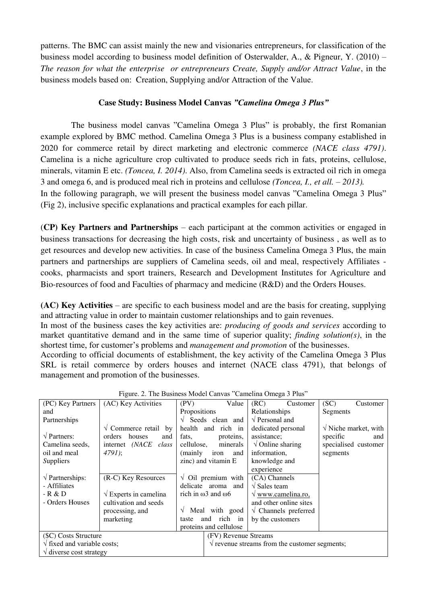patterns. The BMC can assist mainly the new and visionaries entrepreneurs, for classification of the business model according to business model definition of Osterwalder, A., & Pigneur, Y. (2010) – *The reason for what the enterprise or entrepreneurs Create, Supply and/or Attract Value*, in the business models based on: Creation, Supplying and/or Attraction of the Value.

# **Case Study: Business Model Canvas** *"Camelina Omega 3 Plus"*

The business model canvas "Camelina Omega 3 Plus" is probably, the first Romanian example explored by BMC method. Camelina Omega 3 Plus is a business company established in 2020 for commerce retail by direct marketing and electronic commerce *(NACE class 4791)*. Camelina is a niche agriculture crop cultivated to produce seeds rich in fats, proteins, cellulose, minerals, vitamin E etc. *(Toncea, I. 2014)*. Also, from Camelina seeds is extracted oil rich in omega 3 and omega 6, and is produced meal rich in proteins and cellulose *(Toncea, I., et all. – 2013).* In the following paragraph, we will present the business model canvas "Camelina Omega 3 Plus" (Fig 2), inclusive specific explanations and practical examples for each pillar.

(**CP) Key Partners and Partnerships** – each participant at the common activities or engaged in business transactions for decreasing the high costs, risk and uncertainty of business , as well as to get resources and develop new activities. In case of the business Camelina Omega 3 Plus, the main partners and partnerships are suppliers of Camelina seeds, oil and meal, respectively Affiliates cooks, pharmacists and sport trainers, Research and Development Institutes for Agriculture and Bio-resources of food and Faculties of pharmacy and medicine (R&D) and the Orders Houses.

**(AC) Key Activities** – are specific to each business model and are the basis for creating, supplying and attracting value in order to maintain customer relationships and to gain revenues.

In most of the business cases the key activities are: *producing of goods and services* according to market quantitative demand and in the same time of superior quality; *finding solution(s)*, in the shortest time, for customer's problems and *management and promotion* of the businesses.

According to official documents of establishment, the key activity of the Camelina Omega 3 Plus SRL is retail commerce by orders houses and internet (NACE class 4791), that belongs of management and promotion of the businesses.

| (PC) Key Partners                         | (AC) Key Activities                      | (PV)                              | Value                                                   | (RC)                         | Customer                       | (SC)     | Customer                     |  |  |
|-------------------------------------------|------------------------------------------|-----------------------------------|---------------------------------------------------------|------------------------------|--------------------------------|----------|------------------------------|--|--|
| and                                       |                                          | Propositions                      |                                                         | Relationships                |                                | Segments |                              |  |  |
| Partnerships                              |                                          | $\sqrt{\ }$ Seeds clean and       |                                                         | $\sqrt{\text{Personal}}$ and |                                |          |                              |  |  |
|                                           | $\sqrt{ }$ Commerce retail by            | health<br>and rich in             |                                                         | dedicated personal           |                                |          | $\sqrt{}$ Niche market, with |  |  |
| $\sqrt{\text{Partners}}$ :                | houses<br>orders<br>and                  | fats,                             | proteins,                                               | assistance;                  |                                | specific | and                          |  |  |
| Camelina seeds,                           | internet (NACE class                     | cellulose,                        | minerals                                                |                              | $\sqrt{\text{Online sharing}}$ |          | specialised customer         |  |  |
| oil and meal                              | $4791$ :                                 | (mainly iron                      | and                                                     | information,                 |                                | segments |                              |  |  |
| Suppliers                                 |                                          | zinc) and vitamin E               |                                                         | knowledge and                |                                |          |                              |  |  |
|                                           |                                          |                                   |                                                         | experience                   |                                |          |                              |  |  |
| $\sqrt{\text{Partnerships}}$ :            | (R-C) Key Resources                      | $\sqrt{O}$ Oil premium with       |                                                         | (CA) Channels                |                                |          |                              |  |  |
| - Affiliates                              |                                          | delicate aroma and                |                                                         | $\sqrt{\text{Sales team}}$   |                                |          |                              |  |  |
| - R & D                                   | $\sqrt{\frac{1}{2}}$ Experts in camelina | rich in $\omega$ 3 and $\omega$ 6 |                                                         |                              | $\vee$ www.camelina.ro,        |          |                              |  |  |
| - Orders Houses                           | cultivation and seeds                    |                                   |                                                         | and other online sites       |                                |          |                              |  |  |
|                                           | processing, and                          | $\sqrt{\ }$ Meal with good        |                                                         |                              | $\sqrt{\ }$ Channels preferred |          |                              |  |  |
|                                           | marketing                                | rich in<br>and<br>taste           |                                                         |                              | by the customers               |          |                              |  |  |
|                                           |                                          |                                   | proteins and cellulose                                  |                              |                                |          |                              |  |  |
| (\$C) Costs Structure                     |                                          |                                   | (FV) Revenue Streams                                    |                              |                                |          |                              |  |  |
| $\sqrt{\text{fixed}}$ and variable costs; |                                          |                                   | $\sqrt{\ }$ revenue streams from the customer segments; |                              |                                |          |                              |  |  |
| $\sqrt{ }$ diverse cost strategy          |                                          |                                   |                                                         |                              |                                |          |                              |  |  |

Figure. 2. The Business Model Canvas "Camelina Omega 3 Plus"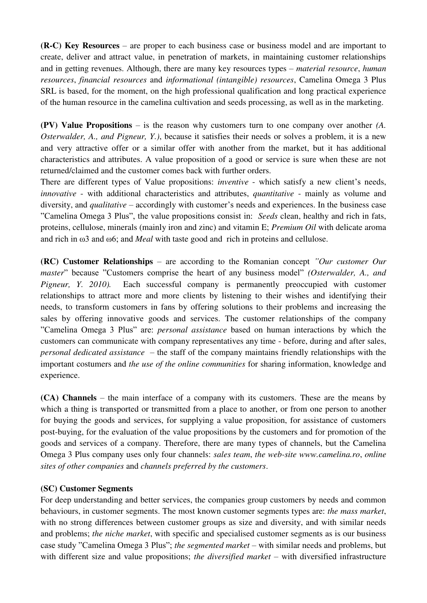**(R-C) Key Resources** – are proper to each business case or business model and are important to create, deliver and attract value, in penetration of markets, in maintaining customer relationships and in getting revenues. Although, there are many key resources types – *material resource*, *human resources*, *financial resources* and *informational (intangible) resources*, Camelina Omega 3 Plus SRL is based, for the moment, on the high professional qualification and long practical experience of the human resource in the camelina cultivation and seeds processing, as well as in the marketing.

**(PV) Value Propositions** – is the reason why customers turn to one company over another *(A. Osterwalder, A., and Pigneur, Y.)*, because it satisfies their needs or solves a problem, it is a new and very attractive offer or a similar offer with another from the market, but it has additional characteristics and attributes. A value proposition of a good or service is sure when these are not returned/claimed and the customer comes back with further orders.

There are different types of Value propositions: *inventive* - which satisfy a new client's needs, *innovative* - with additional characteristics and attributes, *quantitative* - mainly as volume and diversity, and *qualitative* – accordingly with customer's needs and experiences. In the business case "Camelina Omega 3 Plus", the value propositions consist in: *Seeds* clean, healthy and rich in fats, proteins, cellulose, minerals (mainly iron and zinc) and vitamin E; *Premium Oil* with delicate aroma and rich in ω3 and ω6; and *Meal* with taste good and rich in proteins and cellulose.

**(RC) Customer Relationships** – are according to the Romanian concept *"Our customer Our master*" because "Customers comprise the heart of any business model" *(Osterwalder, A., and Pigneur, Y. 2010).* Each successful company is permanently preoccupied with customer relationships to attract more and more clients by listening to their wishes and identifying their needs, to transform customers in fans by offering solutions to their problems and increasing the sales by offering innovative goods and services. The customer relationships of the company "Camelina Omega 3 Plus" are: *personal assistance* based on human interactions by which the customers can communicate with company representatives any time - before, during and after sales, *personal dedicated assistance* – the staff of the company maintains friendly relationships with the important costumers and *the use of the online communities* for sharing information, knowledge and experience.

**(CA) Channels** – the main interface of a company with its customers. These are the means by which a thing is transported or transmitted from a place to another, or from one person to another for buying the goods and services, for supplying a value proposition, for assistance of customers post-buying, for the evaluation of the value propositions by the customers and for promotion of the goods and services of a company. Therefore, there are many types of channels, but the Camelina Omega 3 Plus company uses only four channels: *sales team*, *the web-site www.camelina.ro*, *online sites of other companies* and *channels preferred by the customers*.

# **(SC) Customer Segments**

For deep understanding and better services, the companies group customers by needs and common behaviours, in customer segments. The most known customer segments types are: *the mass market*, with no strong differences between customer groups as size and diversity, and with similar needs and problems; *the niche market*, with specific and specialised customer segments as is our business case study "Camelina Omega 3 Plus"; *the segmented market* – with similar needs and problems, but with different size and value propositions; *the diversified market* – with diversified infrastructure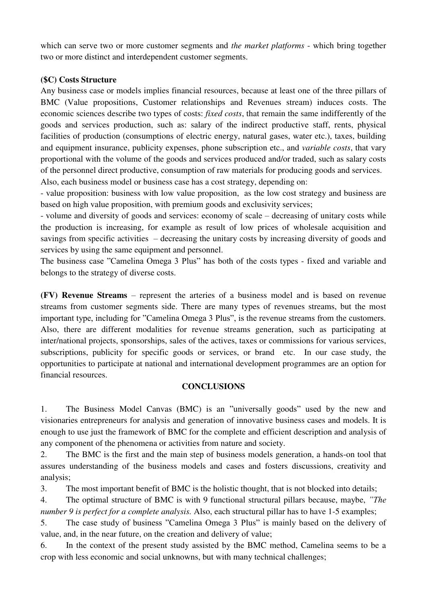which can serve two or more customer segments and *the market platforms* - which bring together two or more distinct and interdependent customer segments.

#### **(\$C) Costs Structure**

Any business case or models implies financial resources, because at least one of the three pillars of BMC (Value propositions, Customer relationships and Revenues stream) induces costs. The economic sciences describe two types of costs: *fixed costs*, that remain the same indifferently of the goods and services production, such as: salary of the indirect productive staff, rents, physical facilities of production (consumptions of electric energy, natural gases, water etc.), taxes, building and equipment insurance, publicity expenses, phone subscription etc., and *variable costs*, that vary proportional with the volume of the goods and services produced and/or traded, such as salary costs of the personnel direct productive, consumption of raw materials for producing goods and services. Also, each business model or business case has a cost strategy, depending on:

- value proposition: business with low value proposition, as the low cost strategy and business are based on high value proposition, with premium goods and exclusivity services;

- volume and diversity of goods and services: economy of scale – decreasing of unitary costs while the production is increasing, for example as result of low prices of wholesale acquisition and savings from specific activities – decreasing the unitary costs by increasing diversity of goods and services by using the same equipment and personnel.

The business case "Camelina Omega 3 Plus" has both of the costs types - fixed and variable and belongs to the strategy of diverse costs.

**(FV) Revenue Streams** – represent the arteries of a business model and is based on revenue streams from customer segments side. There are many types of revenues streams, but the most important type, including for "Camelina Omega 3 Plus", is the revenue streams from the customers. Also, there are different modalities for revenue streams generation, such as participating at inter/national projects, sponsorships, sales of the actives, taxes or commissions for various services, subscriptions, publicity for specific goods or services, or brand etc. In our case study, the opportunities to participate at national and international development programmes are an option for financial resources.

# **CONCLUSIONS**

1. The Business Model Canvas (BMC) is an "universally goods" used by the new and visionaries entrepreneurs for analysis and generation of innovative business cases and models. It is enough to use just the framework of BMC for the complete and efficient description and analysis of any component of the phenomena or activities from nature and society.

2. The BMC is the first and the main step of business models generation, a hands-on tool that assures understanding of the business models and cases and fosters discussions, creativity and analysis;

3. The most important benefit of BMC is the holistic thought, that is not blocked into details;

4. The optimal structure of BMC is with 9 functional structural pillars because, maybe, *"The number 9 is perfect for a complete analysis.* Also, each structural pillar has to have 1-5 examples;

5. The case study of business "Camelina Omega 3 Plus" is mainly based on the delivery of value, and, in the near future, on the creation and delivery of value;

6. In the context of the present study assisted by the BMC method, Camelina seems to be a crop with less economic and social unknowns, but with many technical challenges;